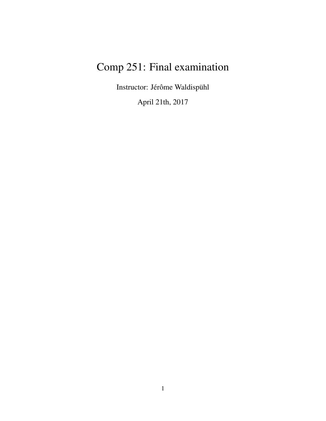# Comp 251: Final examination

Instructor: Jérôme Waldispühl

April 21th, 2017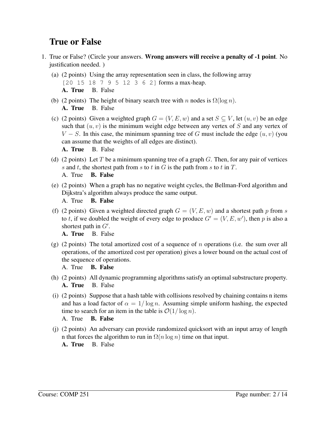## True or False

- 1. True or False? (Circle your answers. Wrong answers will receive a penalty of -1 point. No justification needed. )
	- (a) (2 points) Using the array representation seen in class, the following array [20 15 18 7 9 5 12 3 6 2] forms a max-heap. A. True B. False
	- (b) (2 points) The height of binary search tree with n nodes is  $\Omega(\log n)$ . A. True B. False
	- (c) (2 points) Given a weighted graph  $G = (V, E, w)$  and a set  $S \subseteq V$ , let  $(u, v)$  be an edge such that  $(u, v)$  is the minimum weight edge between any vertex of S and any vertex of  $V - S$ . In this case, the minimum spanning tree of G must include the edge  $(u, v)$  (you can assume that the weights of all edges are distinct).
		- A. True B. False
	- (d) (2 points) Let T be a minimum spanning tree of a graph G. Then, for any pair of vertices s and t, the shortest path from s to t in G is the path from s to t in T.

A. True B. False

- (e) (2 points) When a graph has no negative weight cycles, the Bellman-Ford algorithm and Dijkstra's algorithm always produce the same output.
	- A. True B. False
- (f) (2 points) Given a weighted directed graph  $G = (V, E, w)$  and a shortest path p from s to t, if we doubled the weight of every edge to produce  $G' = (V, E, w')$ , then p is also a shortest path in  $G'$ .

A. True B. False

- (g) (2 points) The total amortized cost of a sequence of n operations (i.e. the sum over all operations, of the amortized cost per operation) gives a lower bound on the actual cost of the sequence of operations.
	- A. True B. False
- (h) (2 points) All dynamic programming algorithms satisfy an optimal substructure property. A. True B. False
- (i) (2 points) Suppose that a hash table with collisions resolved by chaining contains n items and has a load factor of  $\alpha = 1/\log n$ . Assuming simple uniform hashing, the expected time to search for an item in the table is  $O(1/\log n)$ .

A. True B. False

(j) (2 points) An adversary can provide randomized quicksort with an input array of length n that forces the algorithm to run in  $\Omega(n \log n)$  time on that input.

A. True B. False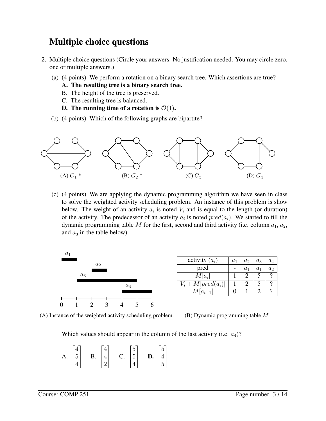# Multiple choice questions

- 2. Multiple choice questions (Circle your answers. No justification needed. You may circle zero, one or multiple answers.)
	- (a) (4 points) We perform a rotation on a binary search tree. Which assertions are true?
		- A. The resulting tree is a binary search tree.
		- B. The height of the tree is preserved.
		- C. The resulting tree is balanced.
		- D. The running time of a rotation is  $\mathcal{O}(1)$ .
	- (b) (4 points) Which of the following graphs are bipartite?



(c) (4 points) We are applying the dynamic programming algorithm we have seen in class to solve the weighted activity scheduling problem. An instance of this problem is show below. The weight of an activity  $a_i$  is noted  $V_i$  and is equal to the length (or duration) of the activity. The predecessor of an activity  $a_i$  is noted  $pred(a_i)$ . We started to fill the dynamic programming table M for the first, second and third activity (i.e. column  $a_1, a_2$ , and  $a_3$  in the table below).



| activity $(a_i)$              | a <sub>1</sub> | a <sub>2</sub> | $a_3$ | $a_4$          |
|-------------------------------|----------------|----------------|-------|----------------|
| pred                          |                | $a_1$          | $a_1$ | a <sub>2</sub> |
| $M[a_i]$                      |                |                |       |                |
| $\overline{V_i+M}[pred(a_i)]$ |                |                |       |                |
| $M[a_{i-1}]$                  |                |                |       |                |

(A) Instance of the weighted activity scheduling problem.

(B) Dynamic programming table M

Which values should appear in the column of the last activity (i.e.  $a_4$ )?

| A. |                                             | B. |                                             |                                                |                                                       |  |
|----|---------------------------------------------|----|---------------------------------------------|------------------------------------------------|-------------------------------------------------------|--|
|    | $\begin{bmatrix} 4 \\ 5 \\ 4 \end{bmatrix}$ |    | $\begin{bmatrix} 4 \\ 4 \\ 2 \end{bmatrix}$ | C. $\begin{bmatrix} 5 \\ 5 \\ 4 \end{bmatrix}$ | <b>D.</b> $\begin{bmatrix} 5 \\ 4 \\ 5 \end{bmatrix}$ |  |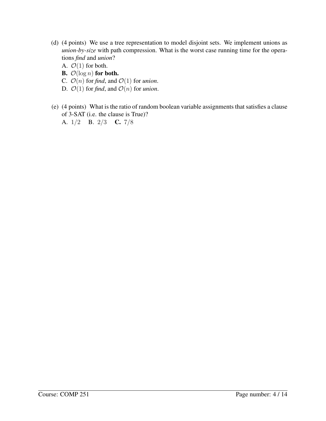- (d) (4 points) We use a tree representation to model disjoint sets. We implement unions as *union-by-size* with path compression. What is the worst case running time for the operations *find* and *union*?
	- A.  $\mathcal{O}(1)$  for both.
	- **B.**  $\mathcal{O}(\log n)$  for both.
	- C.  $\mathcal{O}(n)$  for *find*, and  $\mathcal{O}(1)$  for *union*.
	- D.  $\mathcal{O}(1)$  for *find*, and  $\mathcal{O}(n)$  for *union*.
- (e) (4 points) What is the ratio of random boolean variable assignments that satisfies a clause of 3-SAT (i.e. the clause is True)?
	- A. 1/2 B. 2/3 C. 7/8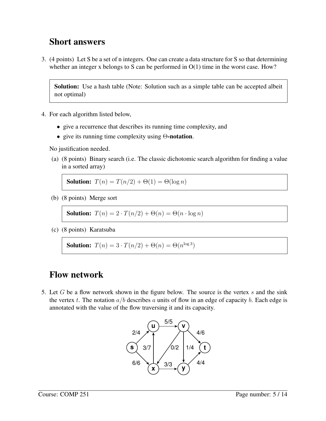### Short answers

3. (4 points) Let S be a set of n integers. One can create a data structure for S so that determining whether an integer x belongs to S can be performed in  $O(1)$  time in the worst case. How?

Solution: Use a hash table (Note: Solution such as a simple table can be accepted albeit not optimal)

- 4. For each algorithm listed below,
	- give a recurrence that describes its running time complexity, and
	- give its running time complexity using  $\Theta$ -notation.

No justification needed.

(a) (8 points) Binary search (i.e. The classic dichotomic search algorithm for finding a value in a sorted array)

**Solution:**  $T(n) = T(n/2) + \Theta(1) = \Theta(\log n)$ 

(b) (8 points) Merge sort

**Solution:**  $T(n) = 2 \cdot T(n/2) + \Theta(n) = \Theta(n \cdot \log n)$ 

(c) (8 points) Karatsuba

**Solution:**  $T(n) = 3 \cdot T(n/2) + \Theta(n) = \Theta(n^{\log 3})$ 

### Flow network

5. Let  $G$  be a flow network shown in the figure below. The source is the vertex  $s$  and the sink the vertex t. The notation  $a/b$  describes a units of flow in an edge of capacity b. Each edge is annotated with the value of the flow traversing it and its capacity.

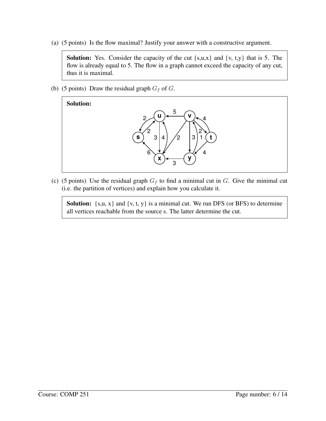(a) (5 points) Is the flow maximal? Justify your answer with a constructive argument.

**Solution:** Yes. Consider the capacity of the cut  $\{s,u,x\}$  and  $\{v, t,y\}$  that is 5. The flow is already equal to 5. The flow in a graph cannot exceed the capacity of any cut, thus it is maximal.

(b) (5 points) Draw the residual graph  $G_f$  of  $G$ .



(c) (5 points) Use the residual graph  $G_f$  to find a minimal cut in G. Give the minimal cut (i.e. the partition of vertices) and explain how you calculate it.

**Solution:**  $\{s, u, x\}$  and  $\{v, t, y\}$  is a minimal cut. We run DFS (or BFS) to determine all vertices reachable from the source s. The latter determine the cut.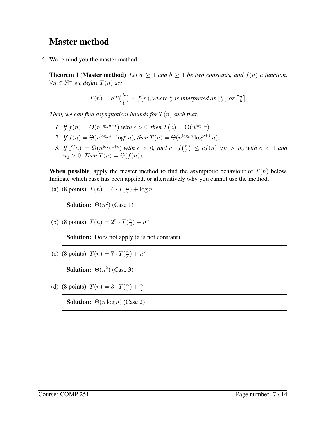### Master method

6. We remind you the master method.

**Theorem 1 (Master method)** Let  $a \geq 1$  and  $b \geq 1$  be two constants, and  $f(n)$  a function.  $\forall n \in \mathbb{N}^+$  *we define*  $T(n)$  *as:* 

$$
T(n) = aT(\frac{n}{b}) + f(n), where \frac{n}{b} is interpreted as \lfloor \frac{n}{b} \rfloor or \lceil \frac{n}{b} \rceil.
$$

*Then, we can find asymptotical bounds for*  $T(n)$  *such that:* 

- *1. If*  $f(n) = O(n^{\log_b a \epsilon})$  *with*  $\epsilon > 0$ *, then*  $T(n) = \Theta(n^{\log_b a})$ *.*
- 2. *If*  $f(n) = \Theta(n^{\log_b a} \cdot \log^p n)$ *, then*  $T(n) = \Theta(n^{\log_b a} \log^{p+1} n)$ *.*
- *3.* If  $f(n) = \Omega(n^{\log_b a + \epsilon})$  with  $\epsilon > 0$ , and  $a \cdot f\left(\frac{n}{b}\right)$  $\binom{n}{b}$   $\leq$   $cf(n), \forall n$   $>$   $n_0$  with  $c$   $<$  1 and  $n_0 > 0$ *. Then*  $T(n) = \Theta(f(n))$ *.*

**When possible**, apply the master method to find the asymptotic behaviour of  $T(n)$  below. Indicate which case has been applied, or alternatively why you cannot use the method.

(a) (8 points) 
$$
T(n) = 4 \cdot T(\frac{n}{2}) + \log n
$$

**Solution:**  $\Theta(n^2)$  (Case 1)

(b) (8 points) 
$$
T(n) = 2^n \cdot T(\frac{n}{2}) + n^n
$$

Solution: Does not apply (a is not constant)

(c) (8 points)  $T(n) = 7 \cdot T(\frac{n}{3})$  $\frac{n}{3}$ ) +  $n^2$ 

**Solution:**  $\Theta(n^2)$  (Case 3)

(d) (8 points)  $T(n) = 3 \cdot T(\frac{n}{3})$  $\frac{n}{3}) + \frac{n}{2}$ 

**Solution:**  $\Theta(n \log n)$  (Case 2)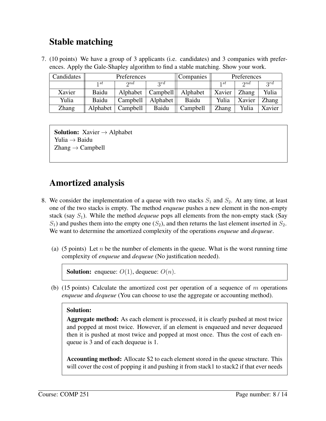# Stable matching

7. (10 points) We have a group of 3 applicants (i.e. candidates) and 3 companies with preferences. Apply the Gale-Shapley algorithm to find a stable matching. Show your work.

| Candidates   | Preferences |             |          | Companies |              | Preferences  |              |
|--------------|-------------|-------------|----------|-----------|--------------|--------------|--------------|
|              | 1 st        | $\gamma$ nd | 2rd      |           | 1 st         | $\gamma$ nd  | 2rd          |
| Xavier       | Baidu       | Alphabet    | Campbell | Alphabet  | Xavier       | <b>Zhang</b> | Yulia        |
| Yulia        | Baidu       | Campbell    | Alphabet | Baidu     | Yulia        | Xavier       | <b>Zhang</b> |
| <b>Zhang</b> | Alphabet    | Campbell    | Baidu    | Campbell  | <b>Zhang</b> | Yulia        | Xavier       |

**Solution:** Xavier  $\rightarrow$  Alphabet Yulia → Baidu  $\text{Zhang} \rightarrow \text{Campbell}$ 

# Amortized analysis

- 8. We consider the implementation of a queue with two stacks  $S_1$  and  $S_2$ . At any time, at least one of the two stacks is empty. The method *enqueue* pushes a new element in the non-empty stack (say  $S_1$ ). While the method *dequeue* pops all elements from the non-empty stack (Say  $S_1$ ) and pushes them into the empty one  $(S_2)$ , and then returns the last element inserted in  $S_2$ . We want to determine the amortized complexity of the operations *enqueue* and *dequeue*.
	- (a) (5 points) Let n be the number of elements in the queue. What is the worst running time complexity of *enqueue* and *dequeue* (No justification needed).

```
Solution: enqueue: O(1), dequeue: O(n).
```
(b) (15 points) Calculate the amortized cost per operation of a sequence of  $m$  operations *enqueue* and *dequeue* (You can choose to use the aggregate or accounting method).

#### Solution:

Aggregate method: As each element is processed, it is clearly pushed at most twice and popped at most twice. However, if an element is enqueued and never dequeued then it is pushed at most twice and popped at most once. Thus the cost of each enqueue is 3 and of each dequeue is 1.

Accounting method: Allocate \$2 to each element stored in the queue structure. This will cover the cost of popping it and pushing it from stack1 to stack2 if that ever needs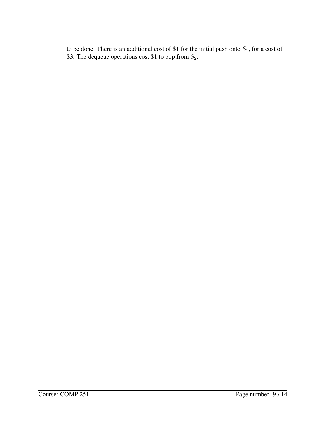to be done. There is an additional cost of \$1 for the initial push onto  $S_1$ , for a cost of \$3. The dequeue operations cost \$1 to pop from  $S_2$ .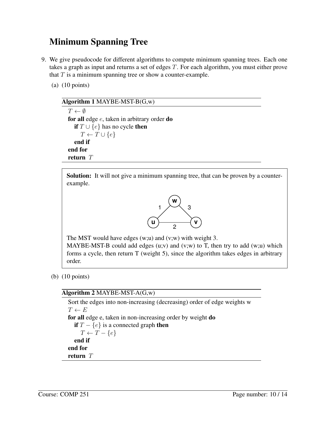# Minimum Spanning Tree

- 9. We give pseudocode for different algorithms to compute minimum spanning trees. Each one takes a graph as input and returns a set of edges T. For each algorithm, you must either prove that  $T$  is a minimum spanning tree or show a counter-example.
	- (a) (10 points)

| Algorithm $1$ MAYBE-MST-B( $G,w$ )                |
|---------------------------------------------------|
| $T \leftarrow \emptyset$                          |
| for all edge $e$ , taken in arbitrary order do    |
| <b>if</b> $T \cup \{e\}$ has no cycle <b>then</b> |
| $T \leftarrow T \cup \{e\}$                       |
| end if                                            |
| end for                                           |
| return $T$                                        |

Solution: It will not give a minimum spanning tree, that can be proven by a counterexample.



The MST would have edges (w;u) and (v;w) with weight 3. MAYBE-MST-B could add edges  $(u;v)$  and  $(v;w)$  to T, then try to add  $(w;u)$  which forms a cycle, then return T (weight 5), since the algorithm takes edges in arbitrary order.

(b) (10 points)

#### Algorithm 2 MAYBE-MST-A(G,w)

Sort the edges into non-increasing (decreasing) order of edge weights w  $T \leftarrow E$ for all edge e, taken in non-increasing order by weight do if  $T - \{e\}$  is a connected graph then  $T \leftarrow T - \{e\}$ end if end for return T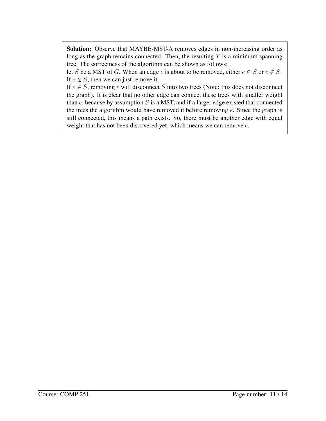Solution: Observe that MAYBE-MST-A removes edges in non-increasing order as long as the graph remains connected. Then, the resulting  $T$  is a minimum spanning tree. The correctness of the algorithm can be shown as follows:

let S be a MST of G. When an edge e is about to be removed, either  $e \in S$  or  $e \notin S$ . If  $e \notin S$ , then we can just remove it.

If  $e \in S$ , removing e will disconnect S into two trees (Note: this does not disconnect the graph). It is clear that no other edge can connect these trees with smaller weight than  $e$ , because by assumption  $S$  is a MST, and if a larger edge existed that connected the trees the algorithm would have removed it before removing  $e$ . Since the graph is still connected, this means a path exists. So, there must be another edge with equal weight that has not been discovered yet, which means we can remove  $e$ .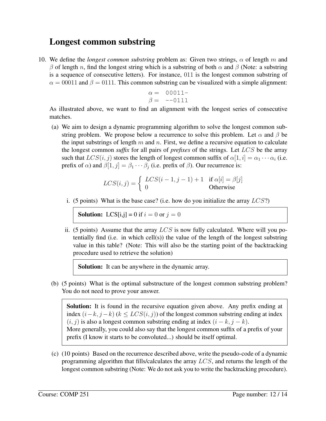### Longest common substring

10. We define the *longest common substring* problem as: Given two strings,  $\alpha$  of length m and β of length n, find the longest string which is a substring of both  $\alpha$  and β (Note: a substring is a sequence of consecutive letters). For instance, 011 is the longest common substring of  $\alpha = 00011$  and  $\beta = 0111$ . This common substring can be visualized with a simple alignment:

$$
\begin{array}{rcl}\n\alpha &=& 00011 \\
\beta &=& -0111\n\end{array}
$$

As illustrated above, we want to find an alignment with the longest series of consecutive matches.

(a) We aim to design a dynamic programming algorithm to solve the longest common substring problem. We propose below a recurrence to solve this problem. Let  $\alpha$  and  $\beta$  be the input substrings of length m and n. First, we define a recursive equation to calculate the longest common *suffix* for all pairs of *prefixes* of the strings. Let LCS be the array such that  $LCS(i, j)$  stores the length of longest common suffix of  $\alpha[1, i] = \alpha_1 \cdots \alpha_i$  (i.e. prefix of  $\alpha$ ) and  $\beta[1, j] = \beta_1 \cdots \beta_j$  (i.e. prefix of  $\beta$ ). Our recurrence is:

$$
LCS(i, j) = \begin{cases} LCS(i - 1, j - 1) + 1 & \text{if } \alpha[i] = \beta[j] \\ 0 & \text{Otherwise} \end{cases}
$$

i. (5 points) What is the base case? (i.e. how do you initialize the array  $LCS$ ?)

**Solution:** LCS[i,j] = 0 if  $i = 0$  or  $j = 0$ 

ii. (5 points) Assume that the array  $LCS$  is now fully calculated. Where will you potentially find (i.e. in which cell(s)) the value of the length of the longest substring value in this table? (Note: This will also be the starting point of the backtracking procedure used to retrieve the solution)

Solution: It can be anywhere in the dynamic array.

(b) (5 points) What is the optimal substructure of the longest common substring problem? You do not need to prove your answer.

Solution: It is found in the recursive equation given above. Any prefix ending at index  $(i-k, j-k)$  ( $k \leq LCS(i, j)$ ) of the longest common substring ending at index  $(i, j)$  is also a longest common substring ending at index  $(i - k, j - k)$ . More generally, you could also say that the longest common suffix of a prefix of your prefix (I know it starts to be convoluted...) should be itself optimal.

(c) (10 points) Based on the recurrence described above, write the pseudo-code of a dynamic programming algorithm that fills/calculates the array LCS, and returns the length of the longest common substring (Note: We do not ask you to write the backtracking procedure).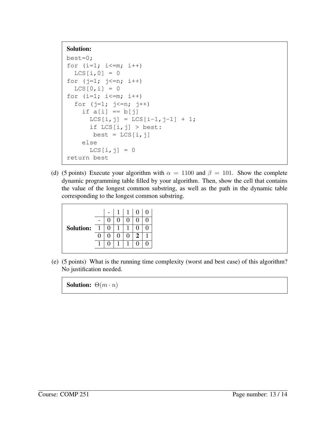#### Solution:

```
best=0;
for (i=1; i<=m; i++)LCS[i, 0] = 0for (j=1; j<=n; i++)LCS[0, i] = 0for (i=1; i<=m; i++)for (j=1; j<=n; j++)if a[i] == b[j]LCS[i, j] = LCS[i-1, j-1] + 1;if LCS[i, j] > best:
       best = LCS[i, j]else
      LCS[i, j] = 0return best
```
(d) (5 points) Execute your algorithm with  $\alpha = 1100$  and  $\beta = 101$ . Show the complete dynamic programming table filled by your algorithm. Then, show the cell that contains the value of the longest common substring, as well as the path in the dynamic table corresponding to the longest common substring.

|                  |                          |  | $1 \mid 1 \mid 0$ |  |
|------------------|--------------------------|--|-------------------|--|
|                  | $\overline{\phantom{0}}$ |  |                   |  |
| <b>Solution:</b> | $\overline{1}$           |  |                   |  |
|                  |                          |  |                   |  |
|                  |                          |  |                   |  |

(e) (5 points) What is the running time complexity (worst and best case) of this algorithm? No justification needed.

**Solution:**  $\Theta(m \cdot n)$